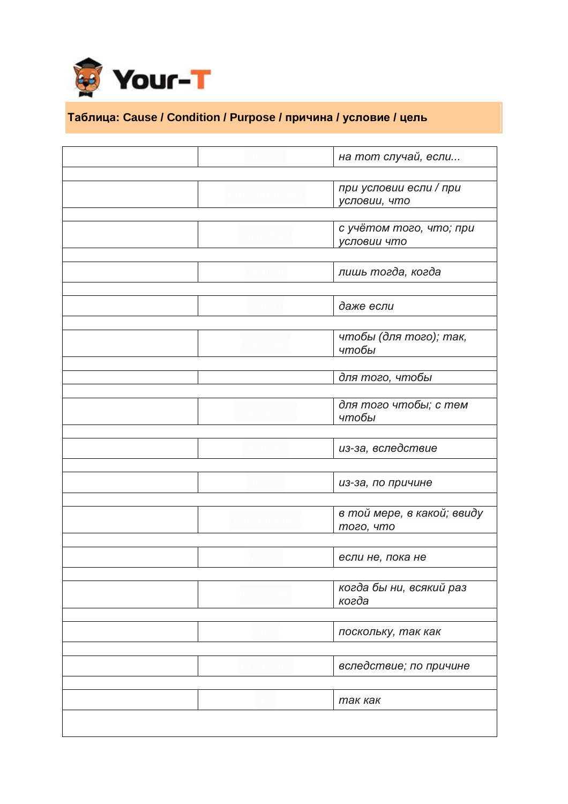

## **Таблица: Cause / Condition / Purpose / причина / условие / цель**

| на тот случай, если<br>при условии если / при<br>условии, что<br>с учётом того, что; при<br>условии что<br>пишь тогда, когда<br>даже если<br>чтобы (для того); так,<br>чтобы<br>для того, чтобы<br>для того чтобы; с тем<br>чтобы<br>из-за, вследствие<br>из-за, по причине<br>в той мере, в какой; ввиду<br>того, что<br>если не, пока не<br>когда бы ни, всякий раз<br>когда<br>поскольку, так как<br>вследствие; по причине<br>так как |  |
|-------------------------------------------------------------------------------------------------------------------------------------------------------------------------------------------------------------------------------------------------------------------------------------------------------------------------------------------------------------------------------------------------------------------------------------------|--|
|                                                                                                                                                                                                                                                                                                                                                                                                                                           |  |
|                                                                                                                                                                                                                                                                                                                                                                                                                                           |  |
|                                                                                                                                                                                                                                                                                                                                                                                                                                           |  |
|                                                                                                                                                                                                                                                                                                                                                                                                                                           |  |
|                                                                                                                                                                                                                                                                                                                                                                                                                                           |  |
|                                                                                                                                                                                                                                                                                                                                                                                                                                           |  |
|                                                                                                                                                                                                                                                                                                                                                                                                                                           |  |
|                                                                                                                                                                                                                                                                                                                                                                                                                                           |  |
|                                                                                                                                                                                                                                                                                                                                                                                                                                           |  |
|                                                                                                                                                                                                                                                                                                                                                                                                                                           |  |
|                                                                                                                                                                                                                                                                                                                                                                                                                                           |  |
|                                                                                                                                                                                                                                                                                                                                                                                                                                           |  |
|                                                                                                                                                                                                                                                                                                                                                                                                                                           |  |
|                                                                                                                                                                                                                                                                                                                                                                                                                                           |  |
|                                                                                                                                                                                                                                                                                                                                                                                                                                           |  |
|                                                                                                                                                                                                                                                                                                                                                                                                                                           |  |
|                                                                                                                                                                                                                                                                                                                                                                                                                                           |  |
|                                                                                                                                                                                                                                                                                                                                                                                                                                           |  |
|                                                                                                                                                                                                                                                                                                                                                                                                                                           |  |
|                                                                                                                                                                                                                                                                                                                                                                                                                                           |  |
|                                                                                                                                                                                                                                                                                                                                                                                                                                           |  |
|                                                                                                                                                                                                                                                                                                                                                                                                                                           |  |
|                                                                                                                                                                                                                                                                                                                                                                                                                                           |  |
|                                                                                                                                                                                                                                                                                                                                                                                                                                           |  |
|                                                                                                                                                                                                                                                                                                                                                                                                                                           |  |
|                                                                                                                                                                                                                                                                                                                                                                                                                                           |  |
|                                                                                                                                                                                                                                                                                                                                                                                                                                           |  |
|                                                                                                                                                                                                                                                                                                                                                                                                                                           |  |
|                                                                                                                                                                                                                                                                                                                                                                                                                                           |  |
|                                                                                                                                                                                                                                                                                                                                                                                                                                           |  |
|                                                                                                                                                                                                                                                                                                                                                                                                                                           |  |
|                                                                                                                                                                                                                                                                                                                                                                                                                                           |  |